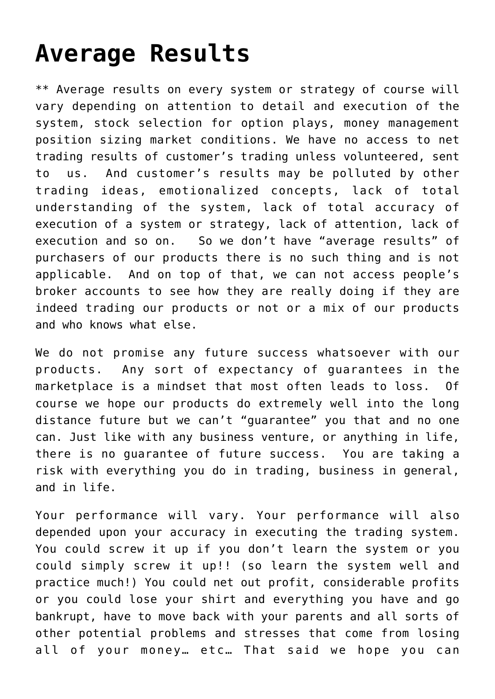## **[Average Results](https://optionsweeklypaychecks.com/average-results/)**

\*\* Average results on every system or strategy of course will vary depending on attention to detail and execution of the system, stock selection for option plays, money management position sizing market conditions. We have no access to net trading results of customer's trading unless volunteered, sent to us. And customer's results may be polluted by other trading ideas, emotionalized concepts, lack of total understanding of the system, lack of total accuracy of execution of a system or strategy, lack of attention, lack of execution and so on. So we don't have "average results" of purchasers of our products there is no such thing and is not applicable. And on top of that, we can not access people's broker accounts to see how they are really doing if they are indeed trading our products or not or a mix of our products and who knows what else.

We do not promise any future success whatsoever with our products. Any sort of expectancy of guarantees in the marketplace is a mindset that most often leads to loss. Of course we hope our products do extremely well into the long distance future but we can't "guarantee" you that and no one can. Just like with any business venture, or anything in life, there is no guarantee of future success. You are taking a risk with everything you do in trading, business in general, and in life.

Your performance will vary. Your performance will also depended upon your accuracy in executing the trading system. You could screw it up if you don't learn the system or you could simply screw it up!! (so learn the system well and practice much!) You could net out profit, considerable profits or you could lose your shirt and everything you have and go bankrupt, have to move back with your parents and all sorts of other potential problems and stresses that come from losing all of your money… etc… That said we hope you can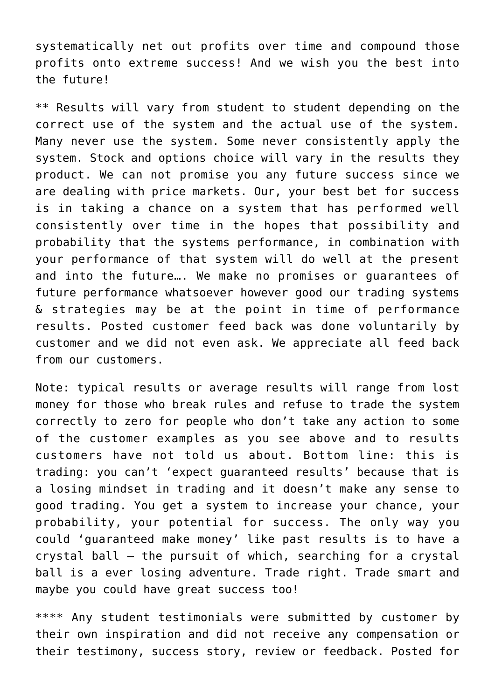systematically net out profits over time and compound those profits onto extreme success! And we wish you the best into the future!

\*\* Results will vary from student to student depending on the correct use of the system and the actual use of the system. Many never use the system. Some never consistently apply the system. Stock and options choice will vary in the results they product. We can not promise you any future success since we are dealing with price markets. Our, your best bet for success is in taking a chance on a system that has performed well consistently over time in the hopes that possibility and probability that the systems performance, in combination with your performance of that system will do well at the present and into the future…. We make no promises or guarantees of future performance whatsoever however good our trading systems & strategies may be at the point in time of performance results. Posted customer feed back was done voluntarily by customer and we did not even ask. We appreciate all feed back from our customers.

Note: typical results or average results will range from lost money for those who break rules and refuse to trade the system correctly to zero for people who don't take any action to some of the customer examples as you see above and to results customers have not told us about. Bottom line: this is trading: you can't 'expect guaranteed results' because that is a losing mindset in trading and it doesn't make any sense to good trading. You get a system to increase your chance, your probability, your potential for success. The only way you could 'guaranteed make money' like past results is to have a crystal ball – the pursuit of which, searching for a crystal ball is a ever losing adventure. Trade right. Trade smart and maybe you could have great success too!

\*\*\*\* Any student testimonials were submitted by customer by their own inspiration and did not receive any compensation or their testimony, success story, review or feedback. Posted for